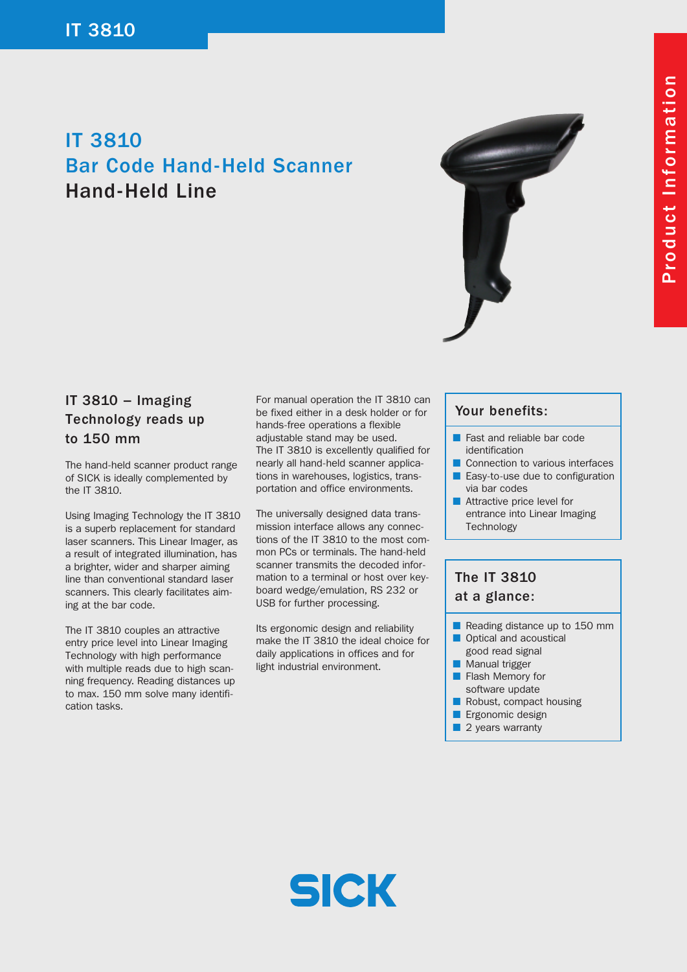# IT 3810 Bar Code Hand-Held Scanner Hand-Held Line



### IT 3810 – Imaging Technology reads up to 150 mm

The hand-held scanner product range of SICK is ideally complemented by the IT 3810.

Using Imaging Technology the IT 3810 is a superb replacement for standard laser scanners. This Linear Imager, as a result of integrated illumination, has a brighter, wider and sharper aiming line than conventional standard laser scanners. This clearly facilitates aiming at the bar code.

The IT 3810 couples an attractive entry price level into Linear Imaging Technology with high performance with multiple reads due to high scanning frequency. Reading distances up to max. 150 mm solve many identification tasks.

For manual operation the IT 3810 can be fixed either in a desk holder or for hands-free operations a flexible adjustable stand may be used. The IT 3810 is excellently qualified for nearly all hand-held scanner applications in warehouses, logistics, transportation and office environments.

The universally designed data transmission interface allows any connections of the IT 3810 to the most common PCs or terminals. The hand-held scanner transmits the decoded information to a terminal or host over keyboard wedge/emulation, RS 232 or USB for further processing.

Its ergonomic design and reliability make the IT 3810 the ideal choice for daily applications in offices and for light industrial environment.

#### Your benefits:

- Fast and reliable bar code identification
- Connection to various interfaces ■ Easy-to-use due to configuration via bar codes
- Attractive price level for entrance into Linear Imaging **Technology**

## The IT 3810 at a glance:

- Reading distance up to 150 mm
- Optical and acoustical good read signal
- Manual trigger
- Flash Memory for
- software update
- Robust, compact housing
- **E** Ergonomic design
- 2 years warranty